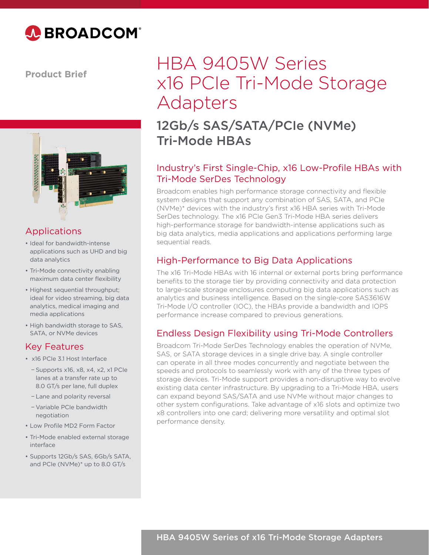

**Product Brief**



#### Applications

- Ideal for bandwidth-intense applications such as UHD and big data analytics
- Tri-Mode connectivity enabling maximum data center flexibility
- Highest sequential throughput; ideal for video streaming, big data analytics, medical imaging and media applications
- High bandwidth storage to SAS, SATA, or NVMe devices

#### Key Features

- x16 PCIe 3.1 Host Interface
	- − Supports x16, x8, x4, x2, x1 PCIe lanes at a transfer rate up to 8.0 GT/s per lane, full duplex
- − Lane and polarity reversal
- − Variable PCIe bandwidth negotiation
- Low Profile MD2 Form Factor
- Tri-Mode enabled external storage interface
- Supports 12Gb/s SAS, 6Gb/s SATA, and PCIe (NVMe)\* up to 8.0 GT/s

# HBA 9405W Series x16 PCIe Tri-Mode Storage Adapters

## 12Gb/s SAS/SATA/PCIe (NVMe) Tri-Mode HBAs

#### Industry's First Single-Chip, x16 Low-Profile HBAs with Tri-Mode SerDes Technology

Broadcom enables high performance storage connectivity and flexible system designs that support any combination of SAS, SATA, and PCIe (NVMe)\* devices with the industry's first x16 HBA series with Tri-Mode SerDes technology. The x16 PCIe Gen3 Tri-Mode HBA series delivers high-performance storage for bandwidth-intense applications such as big data analytics, media applications and applications performing large sequential reads.

### High-Performance to Big Data Applications

The x16 Tri-Mode HBAs with 16 internal or external ports bring performance benefits to the storage tier by providing connectivity and data protection to large-scale storage enclosures computing big data applications such as analytics and business intelligence. Based on the single-core SAS3616W Tri-Mode I/O controller (IOC), the HBAs provide a bandwidth and IOPS performance increase compared to previous generations.

#### Endless Design Flexibility using Tri-Mode Controllers

Broadcom Tri-Mode SerDes Technology enables the operation of NVMe, SAS, or SATA storage devices in a single drive bay. A single controller can operate in all three modes concurrently and negotiate between the speeds and protocols to seamlessly work with any of the three types of storage devices. Tri-Mode support provides a non-disruptive way to evolve existing data center infrastructure. By upgrading to a Tri-Mode HBA, users can expand beyond SAS/SATA and use NVMe without major changes to other system configurations. Take advantage of x16 slots and optimize two x8 controllers into one card; delivering more versatility and optimal slot performance density.